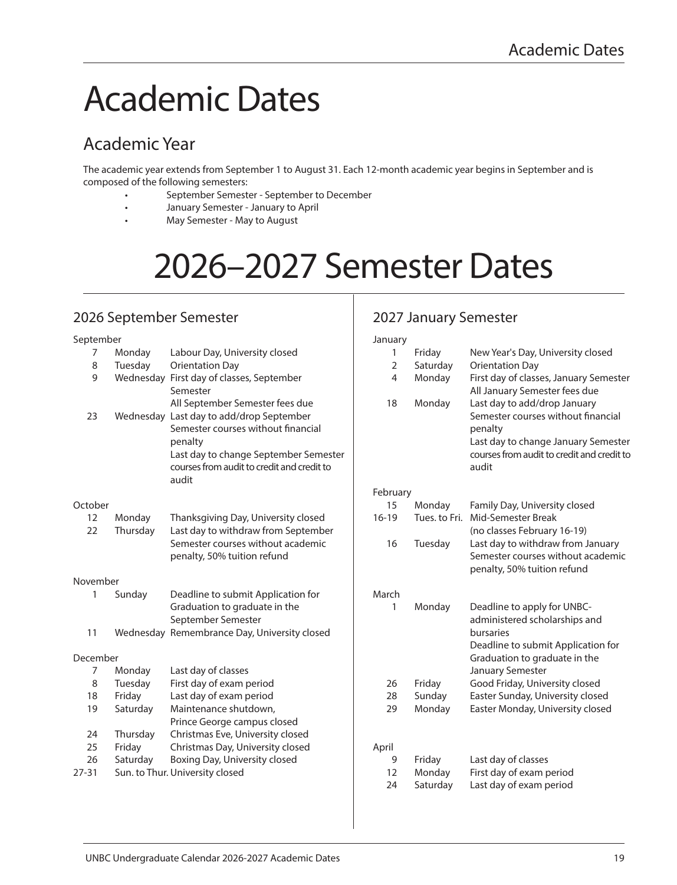# Academic Dates

# Academic Year

The academic year extends from September 1 to August 31. Each 12-month academic year begins in September and is composed of the following semesters:

- September Semester September to December
- January Semester January to April
- May Semester May to August

# 2026–2027 Semester Dates

## 2026 September Semester

## 2027 January Semester

| September |                    |                                                                                                                                                                                                                              | January    |               |                                                                                                                                                                             |  |
|-----------|--------------------|------------------------------------------------------------------------------------------------------------------------------------------------------------------------------------------------------------------------------|------------|---------------|-----------------------------------------------------------------------------------------------------------------------------------------------------------------------------|--|
| 7         | Monday             | Labour Day, University closed                                                                                                                                                                                                | 1          | Friday        | New Year's Day, University closed                                                                                                                                           |  |
| 8         | Tuesday            | <b>Orientation Day</b>                                                                                                                                                                                                       | 2          | Saturday      | <b>Orientation Day</b>                                                                                                                                                      |  |
| 9         |                    | Wednesday First day of classes, September<br>Semester                                                                                                                                                                        | 4          | Monday        | First day of classes, January Semester<br>All January Semester fees due                                                                                                     |  |
| 23        |                    | All September Semester fees due<br>Wednesday Last day to add/drop September<br>Semester courses without financial<br>penalty<br>Last day to change September Semester<br>courses from audit to credit and credit to<br>audit | 18         | Monday        | Last day to add/drop January<br>Semester courses without financial<br>penalty<br>Last day to change January Semester<br>courses from audit to credit and credit to<br>audit |  |
|           |                    |                                                                                                                                                                                                                              | February   |               |                                                                                                                                                                             |  |
| October   |                    |                                                                                                                                                                                                                              | 15         | Monday        | Family Day, University closed                                                                                                                                               |  |
| 12<br>22  | Monday<br>Thursday | Thanksgiving Day, University closed<br>Last day to withdraw from September                                                                                                                                                   | $16 - 19$  | Tues. to Fri. | Mid-Semester Break<br>(no classes February 16-19)                                                                                                                           |  |
|           |                    | Semester courses without academic<br>penalty, 50% tuition refund                                                                                                                                                             | 16         | Tuesday       | Last day to withdraw from January<br>Semester courses without academic<br>penalty, 50% tuition refund                                                                       |  |
| November  |                    |                                                                                                                                                                                                                              |            |               |                                                                                                                                                                             |  |
| 1         | Sunday             | Deadline to submit Application for<br>Graduation to graduate in the<br>September Semester                                                                                                                                    | March<br>1 | Monday        | Deadline to apply for UNBC-<br>administered scholarships and                                                                                                                |  |
| 11        |                    | Wednesday Remembrance Day, University closed                                                                                                                                                                                 |            |               | bursaries<br>Deadline to submit Application for                                                                                                                             |  |
| December  |                    |                                                                                                                                                                                                                              |            |               | Graduation to graduate in the                                                                                                                                               |  |
| 7         | Monday             | Last day of classes                                                                                                                                                                                                          |            |               | January Semester                                                                                                                                                            |  |
| 8         | Tuesday            | First day of exam period                                                                                                                                                                                                     | 26         | Friday        | Good Friday, University closed                                                                                                                                              |  |
| 18        | Friday             | Last day of exam period                                                                                                                                                                                                      | 28         | Sunday        | Easter Sunday, University closed                                                                                                                                            |  |
| 19        | Saturday           | Maintenance shutdown,<br>Prince George campus closed                                                                                                                                                                         | 29         | Monday        | Easter Monday, University closed                                                                                                                                            |  |
| 24        | Thursday           | Christmas Eve, University closed                                                                                                                                                                                             |            |               |                                                                                                                                                                             |  |
| 25        | Friday             | Christmas Day, University closed                                                                                                                                                                                             | April      |               |                                                                                                                                                                             |  |
| 26        | Saturday           | Boxing Day, University closed                                                                                                                                                                                                | 9          | Friday        | Last day of classes                                                                                                                                                         |  |
| $27 - 31$ |                    | Sun. to Thur. University closed                                                                                                                                                                                              | 12         | Monday        | First day of exam period                                                                                                                                                    |  |
|           |                    |                                                                                                                                                                                                                              | 24         | Saturday      | Last day of exam period                                                                                                                                                     |  |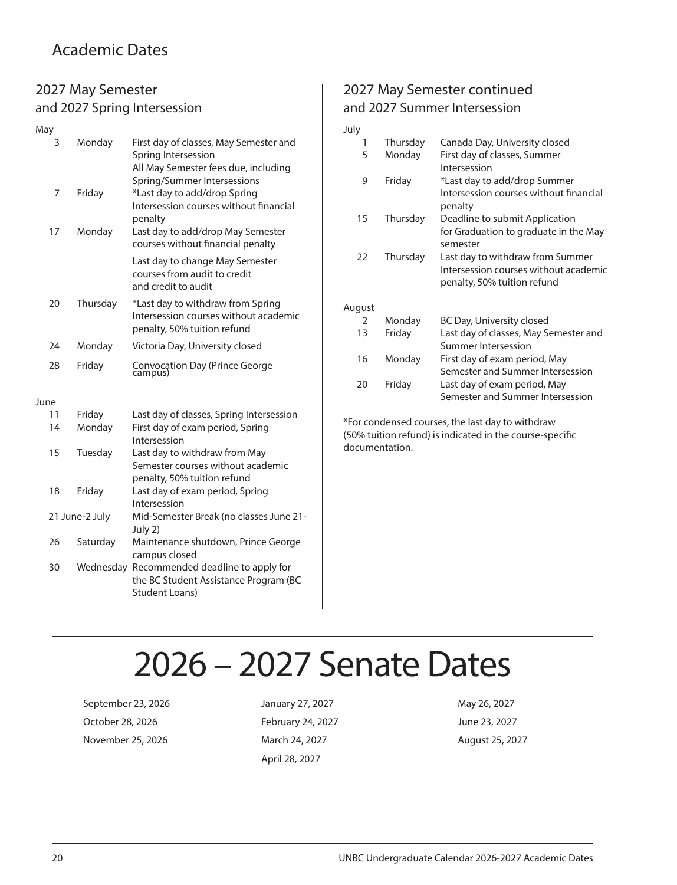### 2027 May Semester and 2027 Spring Intersession

| May |      |                |                                                                                                                                      |
|-----|------|----------------|--------------------------------------------------------------------------------------------------------------------------------------|
|     | 3    | Monday         | First day of classes, May Semester and<br>Spring Intersession<br>All May Semester fees due, including<br>Spring/Summer Intersessions |
|     | 7    | Friday         | *Last day to add/drop Spring<br>Intersession courses without financial<br>penalty                                                    |
|     | 17   | Monday         | Last day to add/drop May Semester<br>courses without financial penalty                                                               |
|     |      |                | Last day to change May Semester<br>courses from audit to credit<br>and credit to audit                                               |
|     | 20   | Thursday       | *Last day to withdraw from Spring<br>Intersession courses without academic<br>penalty, 50% tuition refund                            |
|     | 24   | Monday         | Victoria Day, University closed                                                                                                      |
|     | 28   | Friday         | Convocation Day (Prince George<br>campus)                                                                                            |
|     | June |                |                                                                                                                                      |
|     | 11   | Friday         | Last day of classes, Spring Intersession                                                                                             |
|     | 14   | Monday         | First day of exam period, Spring<br>Intersession                                                                                     |
|     | 15   | Tuesday        | Last day to withdraw from May<br>Semester courses without academic<br>penalty, 50% tuition refund                                    |
|     | 18   | Friday         | Last day of exam period, Spring<br>Intersession                                                                                      |
|     |      | 21 June-2 July | Mid-Semester Break (no classes June 21-<br>July 2)                                                                                   |
|     | 26   | Saturday       | Maintenance shutdown, Prince George<br>campus closed                                                                                 |
|     | 30   |                | Wednesday Recommended deadline to apply for<br>the BC Student Assistance Program (BC<br><b>Student Loans)</b>                        |

## 2027 May Semester continued and 2027 Summer Intersession

#### July 1 Thursday Canada Day, University closed 5 Monday First day of classes, Summer Intersession 9 Friday \*Last day to add/drop Summer Intersession courses without financial penalty 15 Thursday Deadline to submit Application for Graduation to graduate in the May semester 22 Thursday Last day to withdraw from Summer Intersession courses without academic penalty, 50% tuition refund August 2 Monday BC Day, University closed 13 Friday Last day of classes, May Semester and Summer Intersession 16 Monday First day of exam period, May Semester and Summer Intersession

20 Friday Last day of exam period, May Semester and Summer Intersession

\*For condensed courses, the last day to withdraw (50% tuition refund) is indicated in the course-specific documentation.

# 2026 – 2027 Senate Dates

September 23, 2026 **January 27, 2027** May 26, 2027 October 28, 2026 February 24, 2027 June 23, 2027 November 25, 2026 **March 24, 2027** August 25, 2027

April 28, 2027